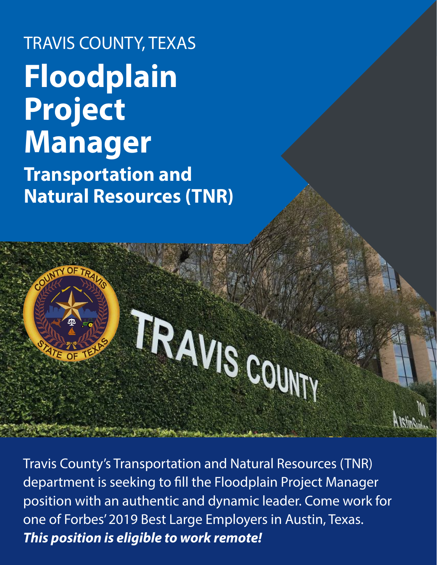# TRAVIS COUNTY, TEXAS **Floodplain Project Manager Transportation and Natural Resources (TNR)**

# TRAVIS COUNTY

Travis County's Transportation and Natural Resources (TNR) department is seeking to fill the Floodplain Project Manager position with an authentic and dynamic leader. Come work for one of Forbes' 2019 Best Large Employers in Austin, Texas. *This position is eligible to work remote!*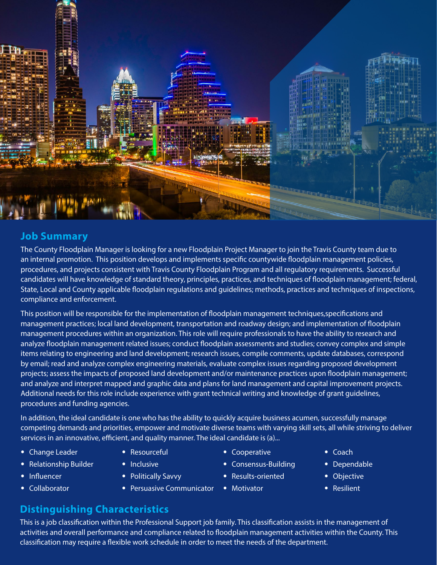

### **Job Summary**

The County Floodplain Manager is looking for a new Floodplain Project Manager to join the Travis County team due to an internal promotion. This position develops and implements specific countywide floodplain management policies, procedures, and projects consistent with Travis County Floodplain Program and all regulatory requirements. Successful candidates will have knowledge of standard theory, principles, practices, and techniques of floodplain management; federal, State, Local and County applicable floodplain regulations and guidelines; methods, practices and techniques of inspections, compliance and enforcement.

This position will be responsible for the implementation of floodplain management techniques,specifications and management practices; local land development, transportation and roadway design; and implementation of floodplain management procedures within an organization. This role will require professionals to have the ability to research and analyze floodplain management related issues; conduct floodplain assessments and studies; convey complex and simple items relating to engineering and land development; research issues, compile comments, update databases, correspond by email; read and analyze complex engineering materials, evaluate complex issues regarding proposed development projects; assess the impacts of proposed land development and/or maintenance practices upon floodplain management; and analyze and interpret mapped and graphic data and plans for land management and capital improvement projects. Additional needs for this role include experience with grant technical writing and knowledge of grant guidelines, procedures and funding agencies.

In addition, the ideal candidate is one who has the ability to quickly acquire business acumen, successfully manage competing demands and priorities, empower and motivate diverse teams with varying skill sets, all while striving to deliver services in an innovative, efficient, and quality manner. The ideal candidate is (a)...

- Change Leader
- Relationship Builder
- Influencer
- Collaborator
- Resourceful • Inclusive
- 
- Politically Savvy
- Persuasive Communicator
- Cooperative
- Consensus-Building
- Results-oriented
- Motivator
- Coach
- Dependable
- Objective
- Resilient

#### **Distinguishing Characteristics**

This is a job classification within the Professional Support job family. This classification assists in the management of activities and overall performance and compliance related to floodplain management activities within the County. This classification may require a flexible work schedule in order to meet the needs of the department.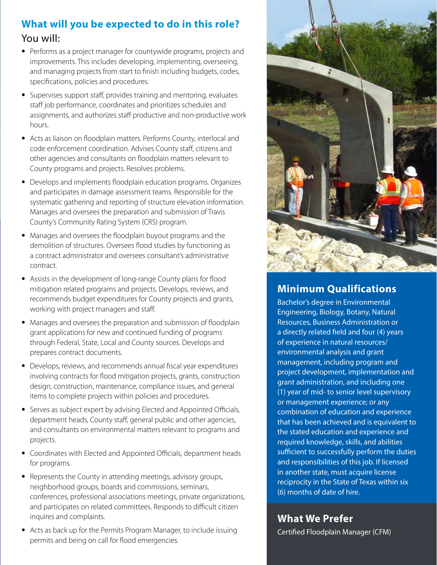# **What will you be expected to do in this role?**  You will:

- Performs as a project manager for countywide programs, projects and improvements. This includes developing, implementing, overseeing, and managing projects from start to finish including budgets, codes, specifications, policies and procedures.
- Supervises support staff, provides training and mentoring, evaluates staff job performance, coordinates and prioritizes schedules and assignments, and authorizes staff productive and non-productive work hours.
- Acts as liaison on floodplain matters. Performs County, interlocal and code enforcement coordination. Advises County staff, citizens and other agencies and consultants on floodplain matters relevant to County programs and projects. Resolves problems.
- Develops and implements floodplain education programs. Organizes and participates in damage assessment teams. Responsible for the systematic gathering and reporting of structure elevation information. Manages and oversees the preparation and submission of Travis County's Community Rating System (CRS) program.
- Manages and oversees the floodplain buyout programs and the demolition of structures. Oversees flood studies by functioning as a contract administrator and oversees consultant's administrative contract.
- Assists in the development of long-range County plans for flood mitigation related programs and projects. Develops, reviews, and recommends budget expenditures for County projects and grants, working with project managers and staff.
- Manages and oversees the preparation and submission of floodplain grant applications for new and continued funding of programs through Federal, State, Local and County sources. Develops and prepares contract documents.
- Develops, reviews, and recommends annual fiscal year expenditures involving contracts for flood mitigation projects, grants, construction design, construction, maintenance, compliance issues, and general items to complete projects within policies and procedures.
- Serves as subject expert by advising Elected and Appointed Officials, department heads, County staff, general public and other agencies, and consultants on environmental matters relevant to programs and projects.
- Coordinates with Elected and Appointed Officials, department heads for programs.
- Represents the County in attending meetings, advisory groups, neighborhood groups, boards and commissions, seminars, conferences, professional associations meetings, private organizations, and participates on related committees. Responds to difficult citizen inquires and complaints.
- Acts as back up for the Permits Program Manager, to include issuing permits and being on call for flood emergencies.



#### **Minimum Qualifications**

Bachelor's degree in Environmental Engineering, Biology, Botany, Natural Resources, Business Administration or a directly related field and four (4) years of experience in natural resources/ environmental analysis and grant management, including program and project development, implementation and grant administration, and including one (1) year of mid- to senior level supervisory or management experience; or any combination of education and experience that has been achieved and is equivalent to the stated education and experience and required knowledge, skills, and abilities sufficient to successfully perform the duties and responsibilities of this job. If licensed in another state, must acquire license reciprocity in the State of Texas within six (6) months of date of hire.

**What We Prefer** Certified Floodplain Manager (CFM)